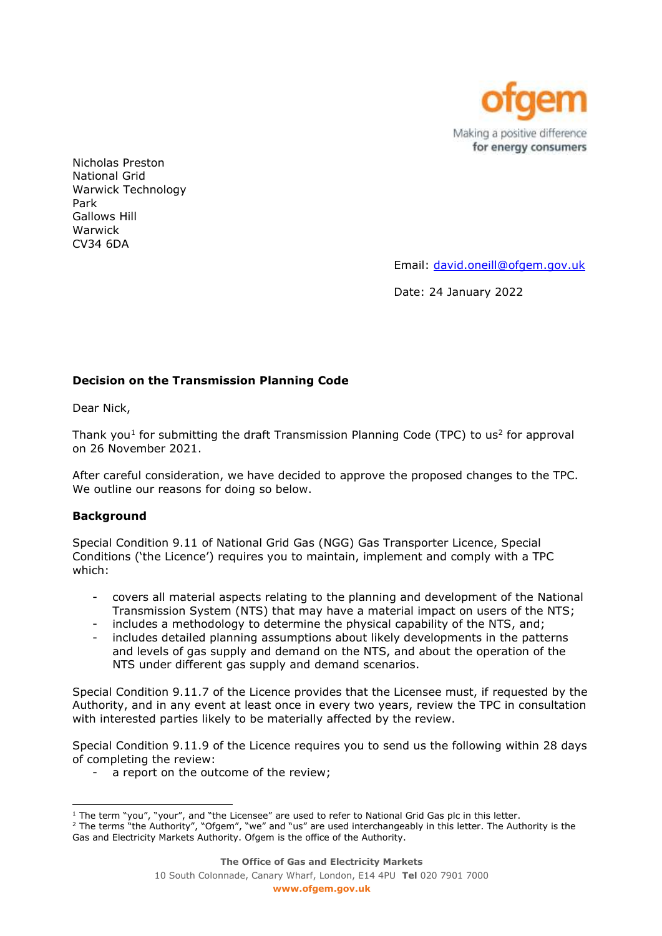

Nicholas Preston National Grid Warwick Technology Park Gallows Hill Warwick CV34 6DA

Email: [david.oneill@ofgem.gov.uk](mailto:chris.brown@ofgem.gov.uk) 

Date: 24 January 2022

## **Decision on the Transmission Planning Code**

Dear Nick,

Thank you<sup>1</sup> for submitting the draft Transmission Planning Code (TPC) to us<sup>2</sup> for approval on 26 November 2021.

 After careful consideration, we have decided to approve the proposed changes to the TPC. We outline our reasons for doing so below.

## **Background**

Special Condition 9.11 of National Grid Gas (NGG) Gas Transporter Licence, Special Conditions ('the Licence') requires you to maintain, implement and comply with a TPC which:

- - covers all material aspects relating to the planning and development of the National Transmission System (NTS) that may have a material impact on users of the NTS;
- includes a methodology to determine the physical capability of the NTS, and;
- includes detailed planning assumptions about likely developments in the patterns and levels of gas supply and demand on the NTS, and about the operation of the NTS under different gas supply and demand scenarios.

 Authority, and in any event at least once in every two years, review the TPC in consultation Special Condition 9.11.7 of the Licence provides that the Licensee must, if requested by the with interested parties likely to be materially affected by the review.

Special Condition 9.11.9 of the Licence requires you to send us the following within 28 days of completing the review:

a report on the outcome of the review;

<sup>&</sup>lt;sup>1</sup> The term "you", "your", and "the Licensee" are used to refer to National Grid Gas plc in this letter.

<sup>&</sup>lt;sup>1</sup> The term "you", "your", and "the Licensee" are used to refer to National Grid Gas plc in this letter.<br><sup>2</sup> The terms "the Authority", "Ofgem", "we" and "us" are used interchangeably in this letter. The Authority is the Gas and Electricity Markets Authority. Ofgem is the office of the Authority.